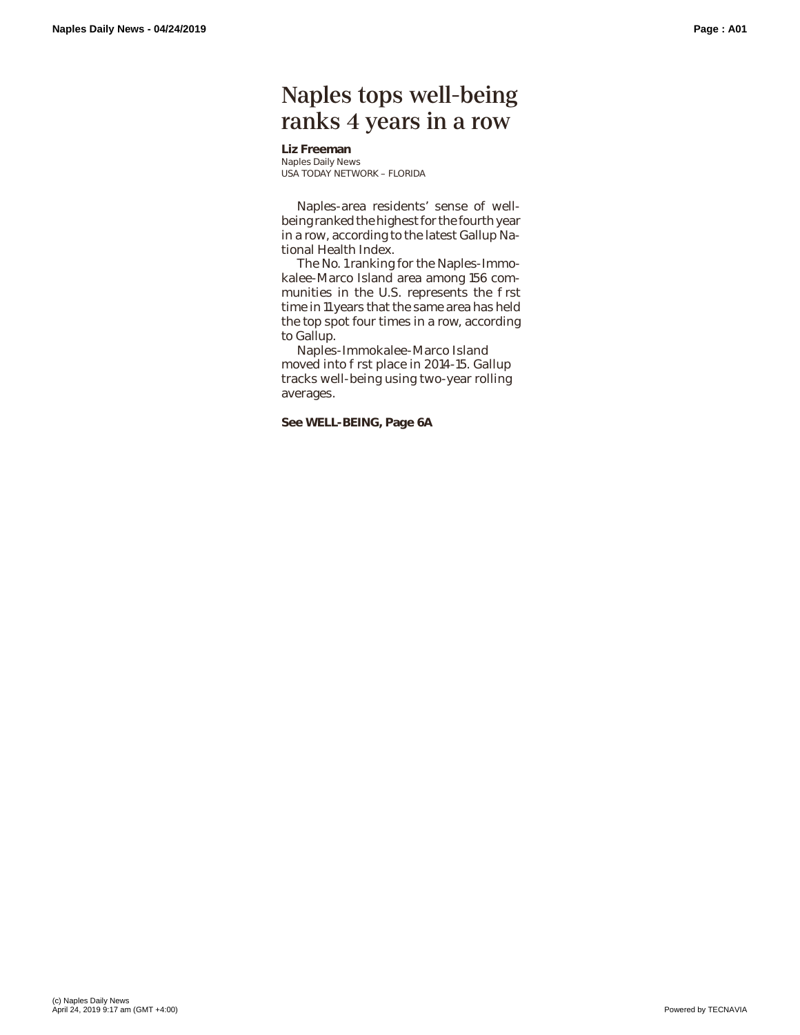## Naples tops well-being ranks 4 years in a row

## **Liz Freeman**

Naples Daily News USA TODAY NETWORK – FLORIDA

Naples-area residents' sense of wellbeing ranked the highest for the fourth year in a row, according to the latest Gallup National Health Index.

The No. 1 ranking for the Naples-Immokalee-Marco Island area among 156 communities in the U.S. represents the rst time in 11 years that the same area has held the top spot four times in a row, according to Gallup.

Naples-Immokalee-Marco Island moved into rst place in 2014-15. Gallup tracks well-being using two-year rolling averages.

**See WELL-BEING, Page 6A**